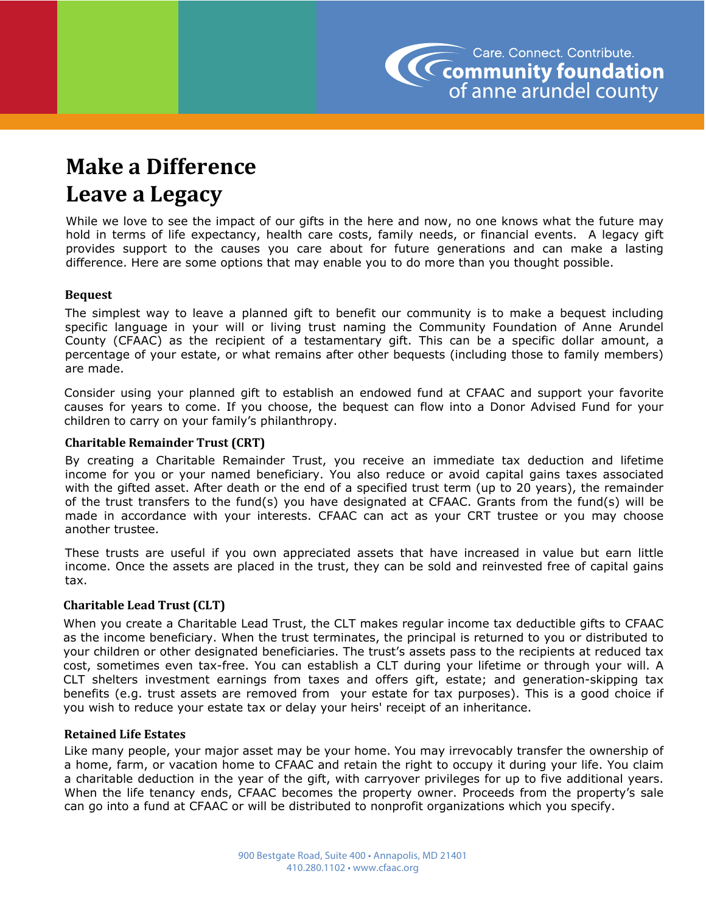

# **Make a Difference Leave a Legacy**

While we love to see the impact of our gifts in the here and now, no one knows what the future may hold in terms of life expectancy, health care costs, family needs, or financial events. A legacy gift provides support to the causes you care about for future generations and can make a lasting difference. Here are some options that may enable you to do more than you thought possible.

# **Bequest**

The simplest way to leave a planned gift to benefit our community is to make a bequest including specific language in your will or living trust naming the Community Foundation of Anne Arundel County (CFAAC) as the recipient of a testamentary gift. This can be a specific dollar amount, a percentage of your estate, or what remains after other bequests (including those to family members) are made.

Consider using your planned gift to establish an endowed fund at CFAAC and support your favorite causes for years to come. If you choose, the bequest can flow into a Donor Advised Fund for your children to carry on your family's philanthropy.

# **Charitable Remainder Trust (CRT)**

By creating a Charitable Remainder Trust, you receive an immediate tax deduction and lifetime income for you or your named beneficiary. You also reduce or avoid capital gains taxes associated with the gifted asset. After death or the end of a specified trust term (up to 20 years), the remainder of the trust transfers to the fund(s) you have designated at CFAAC. Grants from the fund(s) will be made in accordance with your interests. CFAAC can act as your CRT trustee or you may choose another trustee.

These trusts are useful if you own appreciated assets that have increased in value but earn little income. Once the assets are placed in the trust, they can be sold and reinvested free of capital gains tax.

# **Charitable Lead Trust (CLT)**

When you create a Charitable Lead Trust, the CLT makes regular income tax deductible gifts to CFAAC as the income beneficiary. When the trust terminates, the principal is returned to you or distributed to your children or other designated beneficiaries. The trust's assets pass to the recipients at reduced tax cost, sometimes even tax-free. You can establish a CLT during your lifetime or through your will. A CLT shelters investment earnings from taxes and offers gift, estate; and generation-skipping tax benefits (e.g. trust assets are removed from your estate for tax purposes). This is a good choice if you wish to reduce your estate tax or delay your heirs' receipt of an inheritance.

#### **Retained Life Estates**

Like many people, your major asset may be your home. You may irrevocably transfer the ownership of a home, farm, or vacation home to CFAAC and retain the right to occupy it during your life. You claim a charitable deduction in the year of the gift, with carryover privileges for up to five additional years. When the life tenancy ends, CFAAC becomes the property owner. Proceeds from the property's sale can go into a fund at CFAAC or will be distributed to nonprofit organizations which you specify.